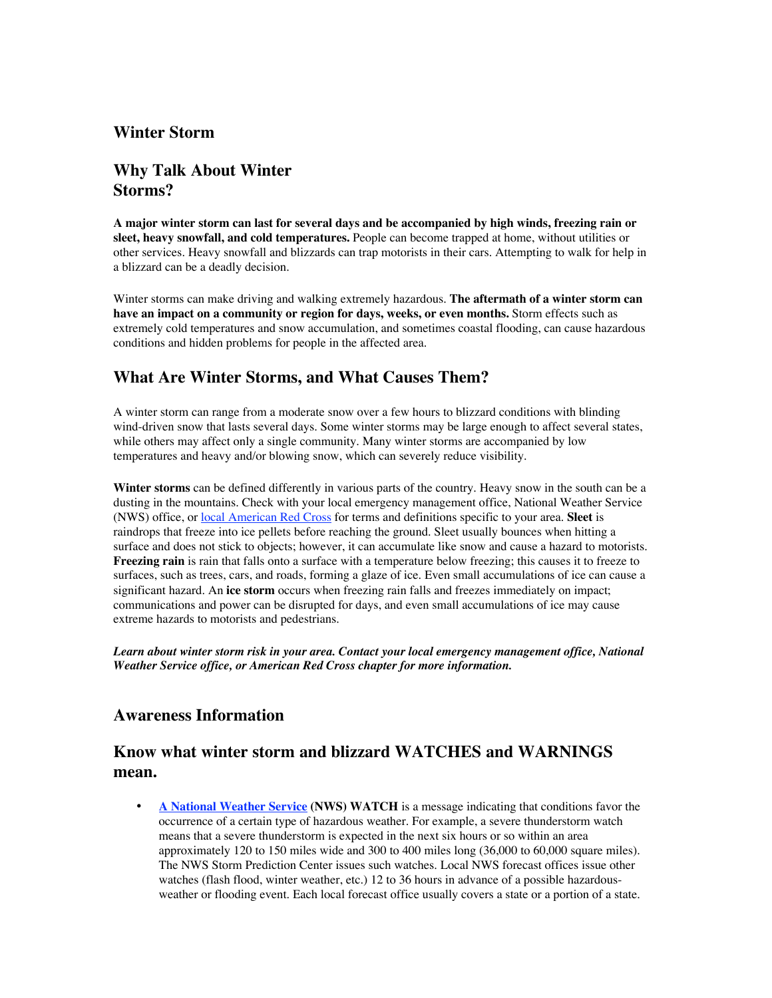# **Winter Storm**

## **Why Talk About Winter Storms?**

**A major winter storm can last for several days and be accompanied by high winds, freezing rain or sleet, heavy snowfall, and cold temperatures.** People can become trapped at home, without utilities or other services. Heavy snowfall and blizzards can trap motorists in their cars. Attempting to walk for help in a blizzard can be a deadly decision.

Winter storms can make driving and walking extremely hazardous. **The aftermath of a winter storm can have an impact on a community or region for days, weeks, or even months.** Storm effects such as extremely cold temperatures and snow accumulation, and sometimes coastal flooding, can cause hazardous conditions and hidden problems for people in the affected area.

### **What Are Winter Storms, and What Causes Them?**

A winter storm can range from a moderate snow over a few hours to blizzard conditions with blinding wind-driven snow that lasts several days. Some winter storms may be large enough to affect several states, while others may affect only a single community. Many winter storms are accompanied by low temperatures and heavy and/or blowing snow, which can severely reduce visibility.

**Winter storms** can be defined differently in various parts of the country. Heavy snow in the south can be a dusting in the mountains. Check with your local emergency management office, National Weather Service (NWS) office, or local American Red Cross for terms and definitions specific to your area. **Sleet** is raindrops that freeze into ice pellets before reaching the ground. Sleet usually bounces when hitting a surface and does not stick to objects; however, it can accumulate like snow and cause a hazard to motorists. **Freezing rain** is rain that falls onto a surface with a temperature below freezing; this causes it to freeze to surfaces, such as trees, cars, and roads, forming a glaze of ice. Even small accumulations of ice can cause a significant hazard. An **ice storm** occurs when freezing rain falls and freezes immediately on impact; communications and power can be disrupted for days, and even small accumulations of ice may cause extreme hazards to motorists and pedestrians.

*Learn about winter storm risk in your area. Contact your local emergency management office, National Weather Service office, or American Red Cross chapter for more information.* !

### **Awareness Information**

# **Know what winter storm and blizzard WATCHES and WARNINGS mean.**

**A National Weather Service (NWS) WATCH** is a message indicating that conditions favor the occurrence of a certain type of hazardous weather. For example, a severe thunderstorm watch means that a severe thunderstorm is expected in the next six hours or so within an area approximately 120 to 150 miles wide and 300 to 400 miles long (36,000 to 60,000 square miles). The NWS Storm Prediction Center issues such watches. Local NWS forecast offices issue other watches (flash flood, winter weather, etc.) 12 to 36 hours in advance of a possible hazardousweather or flooding event. Each local forecast office usually covers a state or a portion of a state.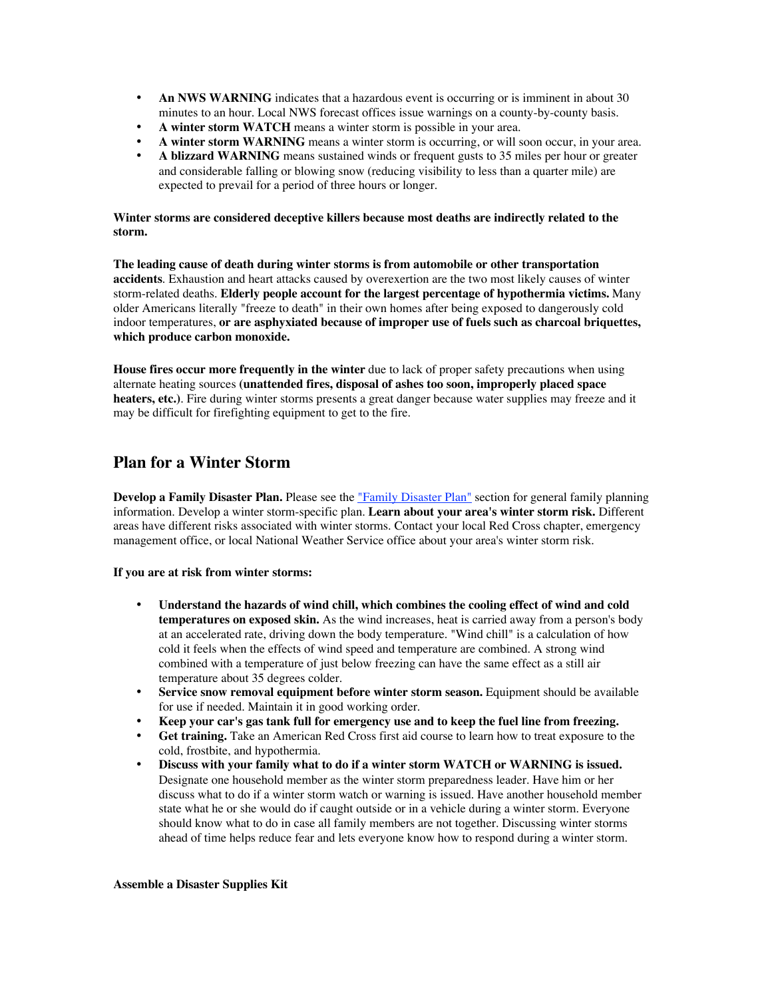**An NWS WARNING** indicates that a hazardous event is occurring or is imminent in about 30 minutes to an hour. Local NWS forecast offices issue warnings on a county-by-county basis. **A winter storm WATCH** means a winter storm is possible in your area.

**A winter storm WARNING** means a winter storm is occurring, or will soon occur, in your area. **A blizzard WARNING** means sustained winds or frequent gusts to 35 miles per hour or greater and considerable falling or blowing snow (reducing visibility to less than a quarter mile) are expected to prevail for a period of three hours or longer.

#### **Winter storms are considered deceptive killers because most deaths are indirectly related to the storm.**

**The leading cause of death during winter storms is from automobile or other transportation accidents**. Exhaustion and heart attacks caused by overexertion are the two most likely causes of winter storm-related deaths. **Elderly people account for the largest percentage of hypothermia victims.** Many older Americans literally "freeze to death" in their own homes after being exposed to dangerously cold indoor temperatures, **or are asphyxiated because of improper use of fuels such as charcoal briquettes, which produce carbon monoxide.**

**House fires occur more frequently in the winter** due to lack of proper safety precautions when using alternate heating sources **(unattended fires, disposal of ashes too soon, improperly placed space heaters, etc.)**. Fire during winter storms presents a great danger because water supplies may freeze and it may be difficult for firefighting equipment to get to the fire. !

### **Plan for a Winter Storm**

**Develop a Family Disaster Plan.** Please see the "Family Disaster Plan" section for general family planning information. Develop a winter storm-specific plan. **Learn about your area's winter storm risk.** Different areas have different risks associated with winter storms. Contact your local Red Cross chapter, emergency management office, or local National Weather Service office about your area's winter storm risk.

#### **If you are at risk from winter storms:**

**Understand the hazards of wind chill, which combines the cooling effect of wind and cold temperatures on exposed skin.** As the wind increases, heat is carried away from a person's body at an accelerated rate, driving down the body temperature. "Wind chill" is a calculation of how cold it feels when the effects of wind speed and temperature are combined. A strong wind combined with a temperature of just below freezing can have the same effect as a still air temperature about 35 degrees colder.

**Service snow removal equipment before winter storm season.** Equipment should be available for use if needed. Maintain it in good working order.

**Keep your car's gas tank full for emergency use and to keep the fuel line from freezing. Get training.** Take an American Red Cross first aid course to learn how to treat exposure to the cold, frostbite, and hypothermia.

**Discuss with your family what to do if a winter storm WATCH or WARNING is issued.** Designate one household member as the winter storm preparedness leader. Have him or her discuss what to do if a winter storm watch or warning is issued. Have another household member state what he or she would do if caught outside or in a vehicle during a winter storm. Everyone should know what to do in case all family members are not together. Discussing winter storms ahead of time helps reduce fear and lets everyone know how to respond during a winter storm.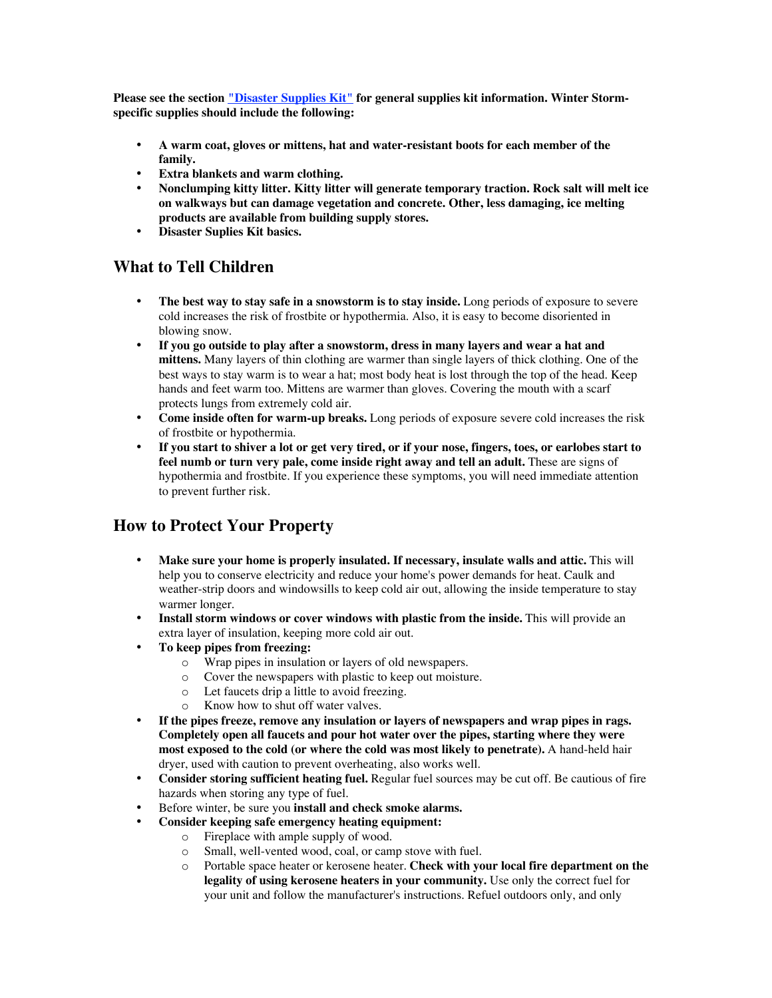Please see the section "Disaster Supplies Kit" for general supplies kit information. Winter Storm**specific supplies should include the following:**

**A warm coat, gloves or mittens, hat and water-resistant boots for each member of the family.**

**Extra blankets and warm clothing.**

**Nonclumping kitty litter. Kitty litter will generate temporary traction. Rock salt will melt ice on walkways but can damage vegetation and concrete. Other, less damaging, ice melting products are available from building supply stores. Disaster Suplies Kit basics.**

### **What to Tell Children**

**The best way to stay safe in a snowstorm is to stay inside.** Long periods of exposure to severe cold increases the risk of frostbite or hypothermia. Also, it is easy to become disoriented in blowing snow.

**If you go outside to play after a snowstorm, dress in many layers and wear a hat and mittens.** Many layers of thin clothing are warmer than single layers of thick clothing. One of the best ways to stay warm is to wear a hat; most body heat is lost through the top of the head. Keep hands and feet warm too. Mittens are warmer than gloves. Covering the mouth with a scarf protects lungs from extremely cold air.

**Come inside often for warm-up breaks.** Long periods of exposure severe cold increases the risk of frostbite or hypothermia.

**If you start to shiver a lot or get very tired, or if your nose, fingers, toes, or earlobes start to feel numb or turn very pale, come inside right away and tell an adult.** These are signs of hypothermia and frostbite. If you experience these symptoms, you will need immediate attention to prevent further risk.

### **How to Protect Your Property**

**Make sure your home is properly insulated. If necessary, insulate walls and attic.** This will help you to conserve electricity and reduce your home's power demands for heat. Caulk and weather-strip doors and windowsills to keep cold air out, allowing the inside temperature to stay warmer longer.

**Install storm windows or cover windows with plastic from the inside.** This will provide an extra layer of insulation, keeping more cold air out.

#### **To keep pipes from freezing:**

- o Wrap pipes in insulation or layers of old newspapers.
- o Cover the newspapers with plastic to keep out moisture.
- o Let faucets drip a little to avoid freezing.
- o Know how to shut off water valves.

**If the pipes freeze, remove any insulation or layers of newspapers and wrap pipes in rags. Completely open all faucets and pour hot water over the pipes, starting where they were most exposed to the cold (or where the cold was most likely to penetrate).** A hand-held hair dryer, used with caution to prevent overheating, also works well.

**Consider storing sufficient heating fuel.** Regular fuel sources may be cut off. Be cautious of fire hazards when storing any type of fuel.

Before winter, be sure you **install and check smoke alarms.**

**Consider keeping safe emergency heating equipment:**

- o Fireplace with ample supply of wood.
- o Small, well-vented wood, coal, or camp stove with fuel.
- o Portable space heater or kerosene heater. **Check with your local fire department on the legality of using kerosene heaters in your community.** Use only the correct fuel for your unit and follow the manufacturer's instructions. Refuel outdoors only, and only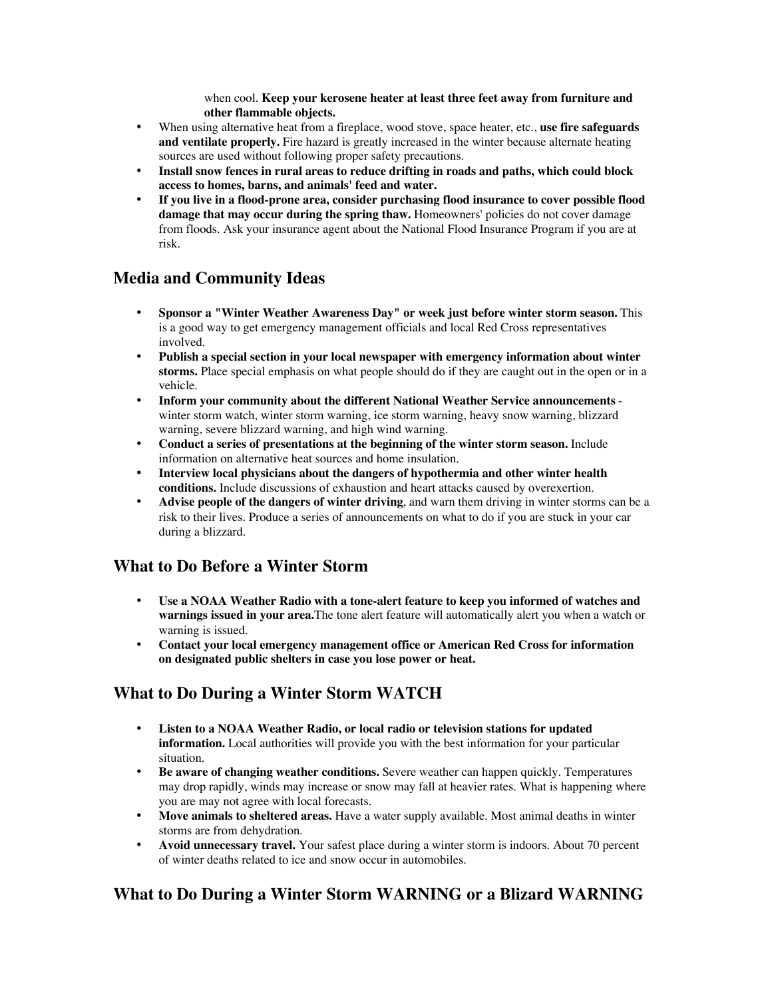when cool. **Keep your kerosene heater at least three feet away from furniture and other flammable objects.**

When using alternative heat from a fireplace, wood stove, space heater, etc., **use fire safeguards and ventilate properly.** Fire hazard is greatly increased in the winter because alternate heating sources are used without following proper safety precautions.

**Install snow fences in rural areas to reduce drifting in roads and paths, which could block access to homes, barns, and animals' feed and water.**

**If you live in a flood-prone area, consider purchasing flood insurance to cover possible flood damage that may occur during the spring thaw.** Homeowners' policies do not cover damage from floods. Ask your insurance agent about the National Flood Insurance Program if you are at risk.

### **Media and Community Ideas**

**Sponsor a "Winter Weather Awareness Day" or week just before winter storm season.** This is a good way to get emergency management officials and local Red Cross representatives involved.

**Publish a special section in your local newspaper with emergency information about winter storms.** Place special emphasis on what people should do if they are caught out in the open or in a vehicle.

**Inform your community about the different National Weather Service announcements**  winter storm watch, winter storm warning, ice storm warning, heavy snow warning, blizzard warning, severe blizzard warning, and high wind warning.

**Conduct a series of presentations at the beginning of the winter storm season.** Include information on alternative heat sources and home insulation.

**Interview local physicians about the dangers of hypothermia and other winter health conditions.** Include discussions of exhaustion and heart attacks caused by overexertion.

**Advise people of the dangers of winter driving**, and warn them driving in winter storms can be a risk to their lives. Produce a series of announcements on what to do if you are stuck in your car during a blizzard.

### **What to Do Before a Winter Storm**

**Use a NOAA Weather Radio with a tone-alert feature to keep you informed of watches and warnings issued in your area.**The tone alert feature will automatically alert you when a watch or warning is issued.

**Contact your local emergency management office or American Red Cross for information on designated public shelters in case you lose power or heat.**

### **What to Do During a Winter Storm WATCH**

**Listen to a NOAA Weather Radio, or local radio or television stations for updated**

**information.** Local authorities will provide you with the best information for your particular situation.

**Be aware of changing weather conditions.** Severe weather can happen quickly. Temperatures may drop rapidly, winds may increase or snow may fall at heavier rates. What is happening where you are may not agree with local forecasts.

**Move animals to sheltered areas.** Have a water supply available. Most animal deaths in winter storms are from dehydration.

**Avoid unnecessary travel.** Your safest place during a winter storm is indoors. About 70 percent of winter deaths related to ice and snow occur in automobiles.

### **What to Do During a Winter Storm WARNING or a Blizard WARNING**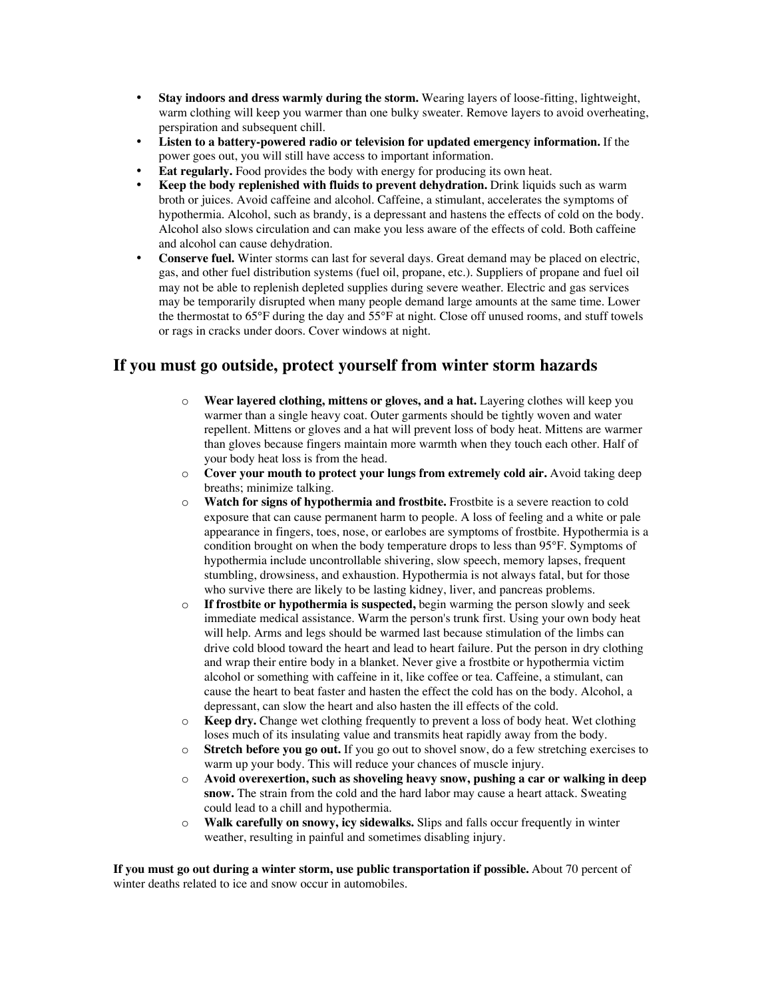**Stay indoors and dress warmly during the storm.** Wearing layers of loose-fitting, lightweight, warm clothing will keep you warmer than one bulky sweater. Remove layers to avoid overheating, perspiration and subsequent chill.

**Listen to a battery-powered radio or television for updated emergency information.** If the power goes out, you will still have access to important information.

**Eat regularly.** Food provides the body with energy for producing its own heat.

**Keep the body replenished with fluids to prevent dehydration.** Drink liquids such as warm broth or juices. Avoid caffeine and alcohol. Caffeine, a stimulant, accelerates the symptoms of hypothermia. Alcohol, such as brandy, is a depressant and hastens the effects of cold on the body. Alcohol also slows circulation and can make you less aware of the effects of cold. Both caffeine and alcohol can cause dehydration.

**Conserve fuel.** Winter storms can last for several days. Great demand may be placed on electric, gas, and other fuel distribution systems (fuel oil, propane, etc.). Suppliers of propane and fuel oil may not be able to replenish depleted supplies during severe weather. Electric and gas services may be temporarily disrupted when many people demand large amounts at the same time. Lower the thermostat to 65°F during the day and 55°F at night. Close off unused rooms, and stuff towels or rags in cracks under doors. Cover windows at night.

### **If you must go outside, protect yourself from winter storm hazards**

- o **Wear layered clothing, mittens or gloves, and a hat.** Layering clothes will keep you warmer than a single heavy coat. Outer garments should be tightly woven and water repellent. Mittens or gloves and a hat will prevent loss of body heat. Mittens are warmer than gloves because fingers maintain more warmth when they touch each other. Half of your body heat loss is from the head.
- o **Cover your mouth to protect your lungs from extremely cold air.** Avoid taking deep breaths; minimize talking.
- o **Watch for signs of hypothermia and frostbite.** Frostbite is a severe reaction to cold exposure that can cause permanent harm to people. A loss of feeling and a white or pale appearance in fingers, toes, nose, or earlobes are symptoms of frostbite. Hypothermia is a condition brought on when the body temperature drops to less than 95°F. Symptoms of hypothermia include uncontrollable shivering, slow speech, memory lapses, frequent stumbling, drowsiness, and exhaustion. Hypothermia is not always fatal, but for those who survive there are likely to be lasting kidney, liver, and pancreas problems.
- o **If frostbite or hypothermia is suspected,** begin warming the person slowly and seek immediate medical assistance. Warm the person's trunk first. Using your own body heat will help. Arms and legs should be warmed last because stimulation of the limbs can drive cold blood toward the heart and lead to heart failure. Put the person in dry clothing and wrap their entire body in a blanket. Never give a frostbite or hypothermia victim alcohol or something with caffeine in it, like coffee or tea. Caffeine, a stimulant, can cause the heart to beat faster and hasten the effect the cold has on the body. Alcohol, a depressant, can slow the heart and also hasten the ill effects of the cold.
- o **Keep dry.** Change wet clothing frequently to prevent a loss of body heat. Wet clothing loses much of its insulating value and transmits heat rapidly away from the body.
- o **Stretch before you go out.** If you go out to shovel snow, do a few stretching exercises to warm up your body. This will reduce your chances of muscle injury.
- o **Avoid overexertion, such as shoveling heavy snow, pushing a car or walking in deep snow.** The strain from the cold and the hard labor may cause a heart attack. Sweating could lead to a chill and hypothermia.
- o **Walk carefully on snowy, icy sidewalks.** Slips and falls occur frequently in winter weather, resulting in painful and sometimes disabling injury.

**If you must go out during a winter storm, use public transportation if possible.** About 70 percent of winter deaths related to ice and snow occur in automobiles.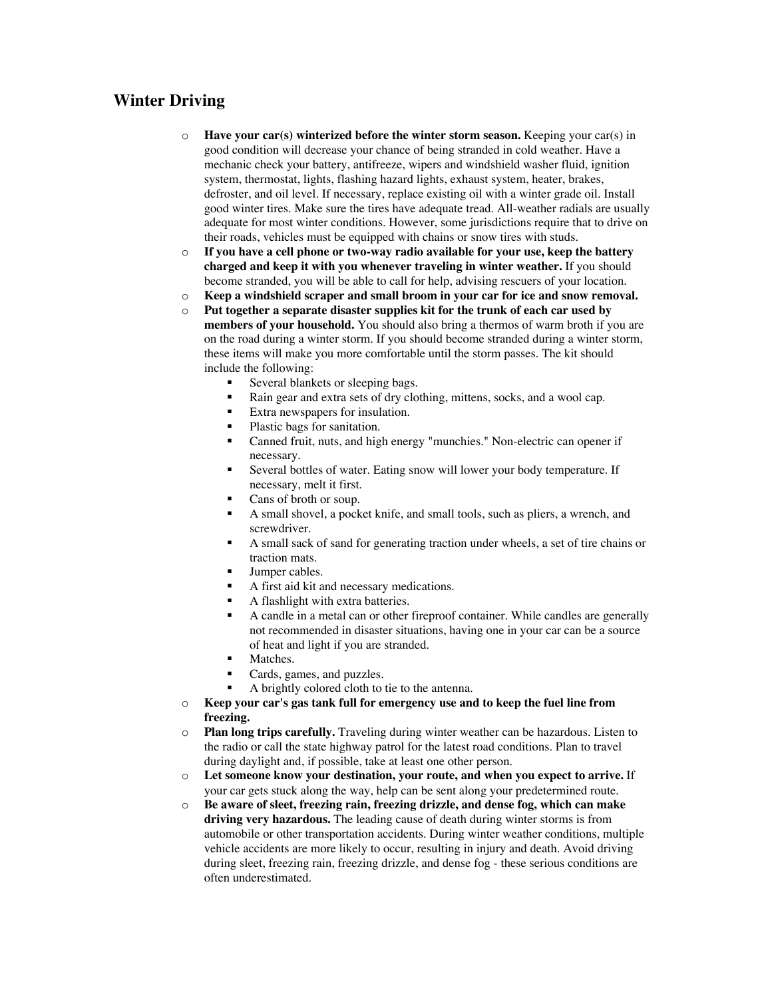# **Winter Driving**

- o **Have your car(s) winterized before the winter storm season.** Keeping your car(s) in good condition will decrease your chance of being stranded in cold weather. Have a mechanic check your battery, antifreeze, wipers and windshield washer fluid, ignition system, thermostat, lights, flashing hazard lights, exhaust system, heater, brakes, defroster, and oil level. If necessary, replace existing oil with a winter grade oil. Install good winter tires. Make sure the tires have adequate tread. All-weather radials are usually adequate for most winter conditions. However, some jurisdictions require that to drive on their roads, vehicles must be equipped with chains or snow tires with studs.
- o **If you have a cell phone or two-way radio available for your use, keep the battery charged and keep it with you whenever traveling in winter weather.** If you should become stranded, you will be able to call for help, advising rescuers of your location.
- o **Keep a windshield scraper and small broom in your car for ice and snow removal.**
- o **Put together a separate disaster supplies kit for the trunk of each car used by members of your household.** You should also bring a thermos of warm broth if you are on the road during a winter storm. If you should become stranded during a winter storm, these items will make you more comfortable until the storm passes. The kit should include the following:
	- Several blankets or sleeping bags.
	- ß Rain gear and extra sets of dry clothing, mittens, socks, and a wool cap.
	- ß Extra newspapers for insulation.
	- Plastic bags for sanitation.
	- ß Canned fruit, nuts, and high energy "munchies." Non-electric can opener if necessary.
	- ß Several bottles of water. Eating snow will lower your body temperature. If necessary, melt it first.
	- Cans of broth or soup.
	- ß A small shovel, a pocket knife, and small tools, such as pliers, a wrench, and screwdriver.
	- ß A small sack of sand for generating traction under wheels, a set of tire chains or traction mats.
	- Jumper cables.
	- ß A first aid kit and necessary medications.
	- ß A flashlight with extra batteries.
	- ß A candle in a metal can or other fireproof container. While candles are generally not recommended in disaster situations, having one in your car can be a source of heat and light if you are stranded.
	- Matches.
	- Cards, games, and puzzles.
	- ß A brightly colored cloth to tie to the antenna.
- o **Keep your car's gas tank full for emergency use and to keep the fuel line from freezing.**
- o **Plan long trips carefully.** Traveling during winter weather can be hazardous. Listen to the radio or call the state highway patrol for the latest road conditions. Plan to travel during daylight and, if possible, take at least one other person.
- o **Let someone know your destination, your route, and when you expect to arrive.** If your car gets stuck along the way, help can be sent along your predetermined route.
- o **Be aware of sleet, freezing rain, freezing drizzle, and dense fog, which can make driving very hazardous.** The leading cause of death during winter storms is from automobile or other transportation accidents. During winter weather conditions, multiple vehicle accidents are more likely to occur, resulting in injury and death. Avoid driving during sleet, freezing rain, freezing drizzle, and dense fog - these serious conditions are often underestimated.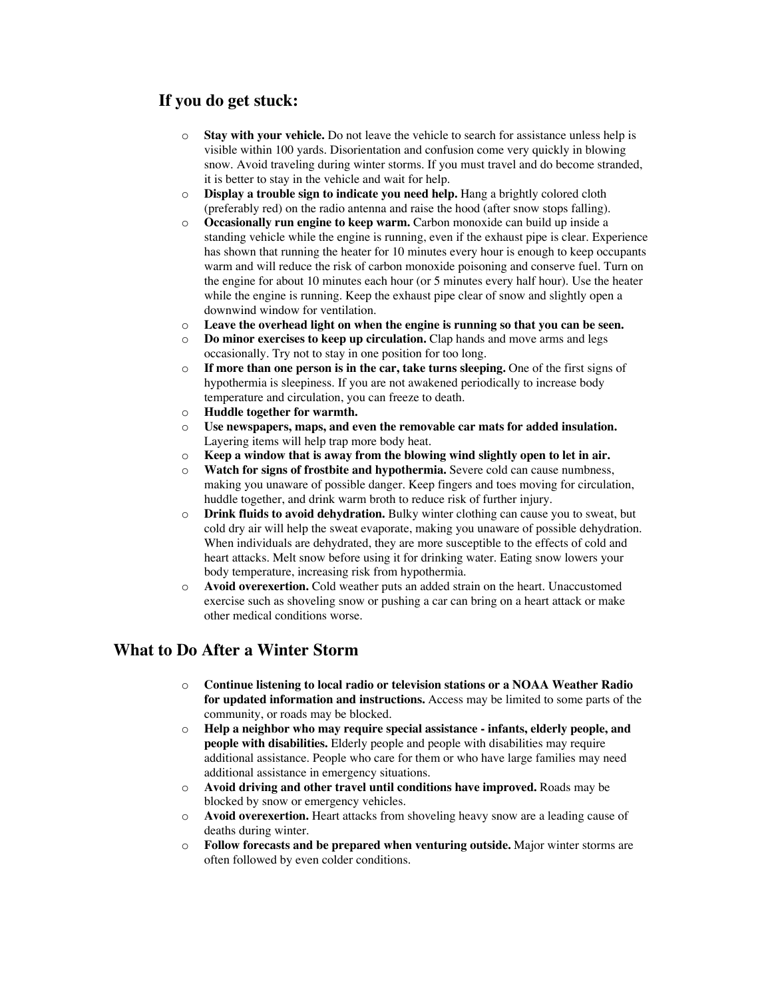# **If you do get stuck:**

- o **Stay with your vehicle.** Do not leave the vehicle to search for assistance unless help is visible within 100 yards. Disorientation and confusion come very quickly in blowing snow. Avoid traveling during winter storms. If you must travel and do become stranded, it is better to stay in the vehicle and wait for help.
- o **Display a trouble sign to indicate you need help.** Hang a brightly colored cloth (preferably red) on the radio antenna and raise the hood (after snow stops falling).
- o **Occasionally run engine to keep warm.** Carbon monoxide can build up inside a standing vehicle while the engine is running, even if the exhaust pipe is clear. Experience has shown that running the heater for 10 minutes every hour is enough to keep occupants warm and will reduce the risk of carbon monoxide poisoning and conserve fuel. Turn on the engine for about 10 minutes each hour (or 5 minutes every half hour). Use the heater while the engine is running. Keep the exhaust pipe clear of snow and slightly open a downwind window for ventilation.
- o **Leave the overhead light on when the engine is running so that you can be seen.**
- o **Do minor exercises to keep up circulation.** Clap hands and move arms and legs occasionally. Try not to stay in one position for too long.
- o **If more than one person is in the car, take turns sleeping.** One of the first signs of hypothermia is sleepiness. If you are not awakened periodically to increase body temperature and circulation, you can freeze to death.
- o **Huddle together for warmth.**
- o **Use newspapers, maps, and even the removable car mats for added insulation.** Layering items will help trap more body heat.
- o **Keep a window that is away from the blowing wind slightly open to let in air.**
- o **Watch for signs of frostbite and hypothermia.** Severe cold can cause numbness, making you unaware of possible danger. Keep fingers and toes moving for circulation, huddle together, and drink warm broth to reduce risk of further injury.
- o **Drink fluids to avoid dehydration.** Bulky winter clothing can cause you to sweat, but cold dry air will help the sweat evaporate, making you unaware of possible dehydration. When individuals are dehydrated, they are more susceptible to the effects of cold and heart attacks. Melt snow before using it for drinking water. Eating snow lowers your body temperature, increasing risk from hypothermia.
- o **Avoid overexertion.** Cold weather puts an added strain on the heart. Unaccustomed exercise such as shoveling snow or pushing a car can bring on a heart attack or make other medical conditions worse.

# **What to Do After a Winter Storm**

- o **Continue listening to local radio or television stations or a NOAA Weather Radio for updated information and instructions.** Access may be limited to some parts of the community, or roads may be blocked.
- o **Help a neighbor who may require special assistance infants, elderly people, and people with disabilities.** Elderly people and people with disabilities may require additional assistance. People who care for them or who have large families may need additional assistance in emergency situations.
- o **Avoid driving and other travel until conditions have improved.** Roads may be blocked by snow or emergency vehicles.
- o **Avoid overexertion.** Heart attacks from shoveling heavy snow are a leading cause of deaths during winter.
- o **Follow forecasts and be prepared when venturing outside.** Major winter storms are often followed by even colder conditions.